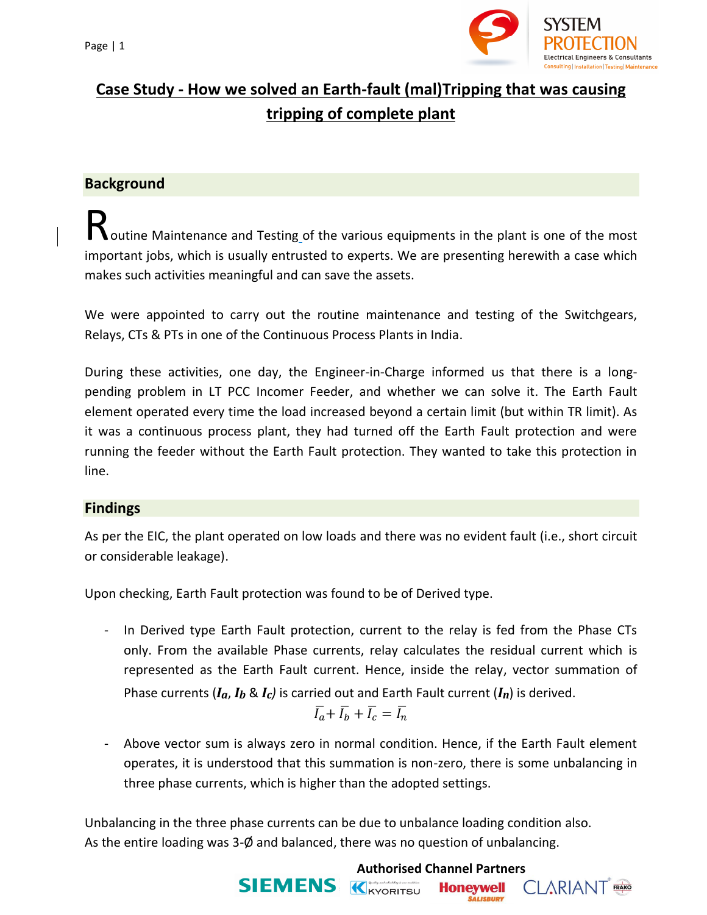

## **Case Study - How we solved an Earth-fault (mal)Tripping that was causing tripping of complete plant**

### **Background**

outine Maintenance and Testing of the various equipments in the plant is one of the most important jobs, which is usually entrusted to experts. We are presenting herewith a case which makes such activities meaningful and can save the assets. R

We were appointed to carry out the routine maintenance and testing of the Switchgears, Relays, CTs & PTs in one of the Continuous Process Plants in India.

During these activities, one day, the Engineer-in-Charge informed us that there is a longpending problem in LT PCC Incomer Feeder, and whether we can solve it. The Earth Fault element operated every time the load increased beyond a certain limit (but within TR limit). As it was a continuous process plant, they had turned off the Earth Fault protection and were running the feeder without the Earth Fault protection. They wanted to take this protection in line.

#### **Findings**

As per the EIC, the plant operated on low loads and there was no evident fault (i.e., short circuit or considerable leakage).

Upon checking, Earth Fault protection was found to be of Derived type.

- In Derived type Earth Fault protection, current to the relay is fed from the Phase CTs only. From the available Phase currents, relay calculates the residual current which is represented as the Earth Fault current. Hence, inside the relay, vector summation of Phase currents  $(I_a, I_b \& I_c)$  is carried out and Earth Fault current  $(I_n)$  is derived.

$$
\overline{I_a} + \overline{I_b} + \overline{I_c} = \overline{I_n}
$$

Above vector sum is always zero in normal condition. Hence, if the Earth Fault element operates, it is understood that this summation is non-zero, there is some unbalancing in three phase currents, which is higher than the adopted settings.

Unbalancing in the three phase currents can be due to unbalance loading condition also. As the entire loading was 3-Ø and balanced, there was no question of unbalancing.

# **Authorised Channel Partners**<br>**SIEMENS K**<sub>KYORITSU **Honeywell** (</sub>

**Honeywell SALISBURY** 

**CLARIANT** FRAKO

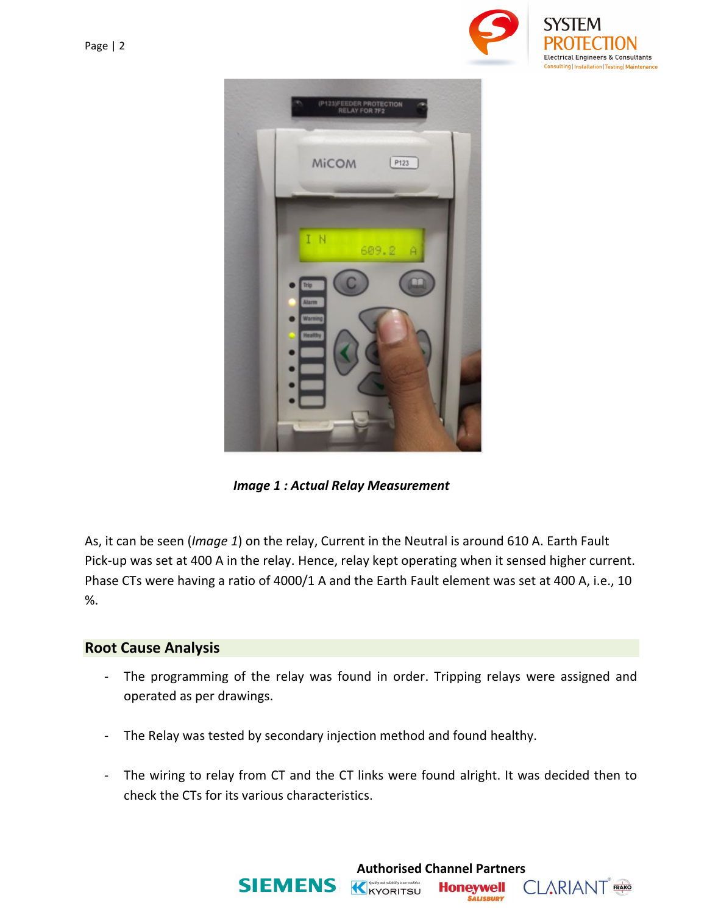

**CLARIANT** FRAKO



*Image 1 : Actual Relay Measurement*

As, it can be seen (*Image 1*) on the relay, Current in the Neutral is around 610 A. Earth Fault Pick-up was set at 400 A in the relay. Hence, relay kept operating when it sensed higher current. Phase CTs were having a ratio of 4000/1 A and the Earth Fault element was set at 400 A, i.e., 10 %.

#### **Root Cause Analysis**

- The programming of the relay was found in order. Tripping relays were assigned and operated as per drawings.
- The Relay was tested by secondary injection method and found healthy.
- The wiring to relay from CT and the CT links were found alright. It was decided then to check the CTs for its various characteristics.

**Authorised Channel Partners**<br>**SIEMENS K**<sub>KYORITSU **Honeywell** (</sub>

**Honeywell SALISBURY**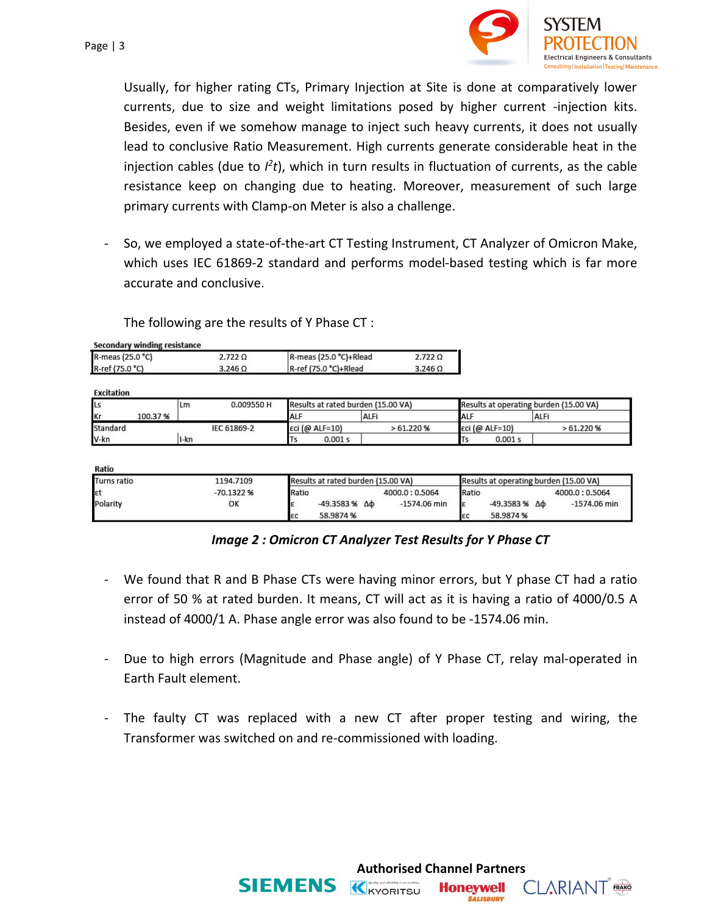

**CLARIANT** FRAKO

**Honeywell SALISBURY** 

Usually, for higher rating CTs, Primary Injection at Site is done at comparatively lower currents, due to size and weight limitations posed by higher current -injection kits. Besides, even if we somehow manage to inject such heavy currents, it does not usually lead to conclusive Ratio Measurement. High currents generate considerable heat in the injection cables (due to  $l^2t$ ), which in turn results in fluctuation of currents, as the cable resistance keep on changing due to heating. Moreover, measurement of such large primary currents with Clamp-on Meter is also a challenge.

- So, we employed a state-of-the-art CT Testing Instrument, CT Analyzer of Omicron Make, which uses IEC 61869-2 standard and performs model-based testing which is far more accurate and conclusive.

The following are the results of Y Phase CT :

**Secondary winding resistance** 

| R-meas (25.0 °C) | 2.7220  | R-meas (25.0 °C)+Rlead | $2.722$ Q<br>3.246 Ω |  |
|------------------|---------|------------------------|----------------------|--|
| R-ref (75.0 °C)  | 3.246 Ω | R-ref (75.0 °C)+Rlead  |                      |  |

Eveitation

| <b>ILs</b> |         | Lm   | 0.009550 H  | Results at rated burden (15.00 VA) |                |          |     | Results at operating burden (15.00 VA) |                |          |  |
|------------|---------|------|-------------|------------------------------------|----------------|----------|-----|----------------------------------------|----------------|----------|--|
| <b>Kr</b>  | 100.37% |      |             | <b>ALF</b>                         |                | ALFi     | ALF |                                        |                | ALFi     |  |
| Standard   |         |      | IEC 61869-2 |                                    | εci (@ ALF=10) | >61.220% |     |                                        | εci (@ ALF=10) | >61.220% |  |
| V-kn       |         | I-kn |             |                                    | 0.001 s        |          |     |                                        | 0.001 s        |          |  |

**Ratio** 

| Turns ratio | 1194.7109  | Results at rated burden (15.00 VA) |                          |                |       | Results at operating burden (15.00 VA) |                |  |  |
|-------------|------------|------------------------------------|--------------------------|----------------|-------|----------------------------------------|----------------|--|--|
| εt          | -70.1322 % | Ratio                              |                          | 4000.0: 0.5064 | Ratio |                                        | 4000.0:0.5064  |  |  |
| Polarity    | OK         |                                    | $-49.3583%$ $\Delta\Phi$ | $-1574.06$ min |       | -49.3583 %<br>Δф                       | $-1574.06$ min |  |  |
|             |            | εc                                 | 58.9874 %                |                |       | 58.9874 %                              |                |  |  |

#### *Image 2 : Omicron CT Analyzer Test Results for Y Phase CT*

- We found that R and B Phase CTs were having minor errors, but Y phase CT had a ratio error of 50 % at rated burden. It means, CT will act as it is having a ratio of 4000/0.5 A instead of 4000/1 A. Phase angle error was also found to be -1574.06 min.
- Due to high errors (Magnitude and Phase angle) of Y Phase CT, relay mal-operated in Earth Fault element.
- The faulty CT was replaced with a new CT after proper testing and wiring, the Transformer was switched on and re-commissioned with loading.